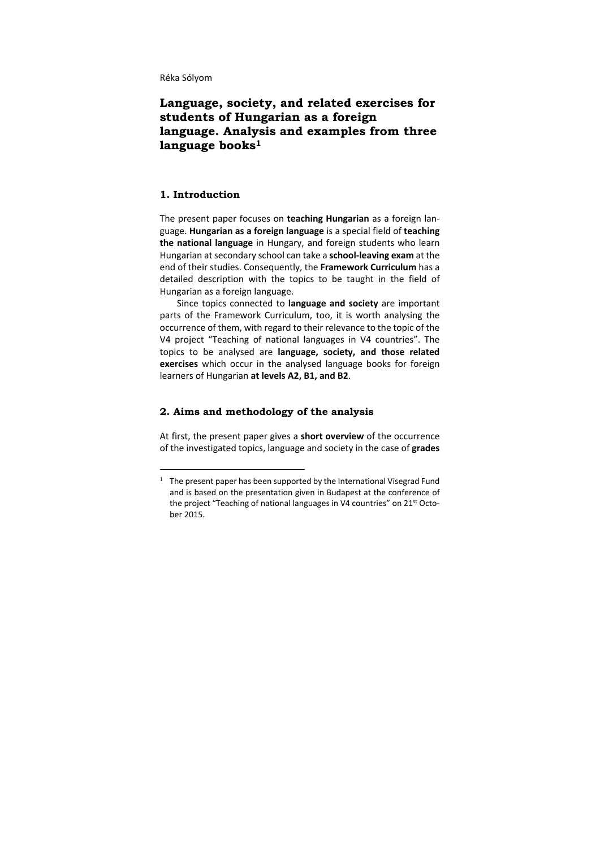Réka Sólyom

# **Language, society, and related exercises for students of Hungarian as a foreign language. Analysis and examples from three**  language books<sup>1</sup>

# **1. Introduction**

-

The present paper focuses on **teaching Hungarian** as a foreign lan‐ guage. **Hungarian as a foreign language** is a special field of **teaching the national language** in Hungary, and foreign students who learn Hungarian atsecondary school can take a **school‐leaving exam** at the end of their studies. Consequently, the **Framework Curriculum** has a detailed description with the topics to be taught in the field of Hungarian as a foreign language.

Since topics connected to **language and society** are important parts of the Framework Curriculum, too, it is worth analysing the occurrence of them, with regard to their relevance to the topic of the V4 project "Teaching of national languages in V4 countries". The topics to be analysed are **language, society, and those related exercises** which occur in the analysed language books for foreign learners of Hungarian **at levels A2, B1, and B2**.

#### **2. Aims and methodology of the analysis**

At first, the present paper gives a **short overview** of the occurrence of the investigated topics, language and society in the case of **grades**

<sup>&</sup>lt;sup>1</sup> The present paper has been supported by the International Visegrad Fund and is based on the presentation given in Budapest at the conference of the project "Teaching of national languages in V4 countries" on 21<sup>st</sup> October 2015.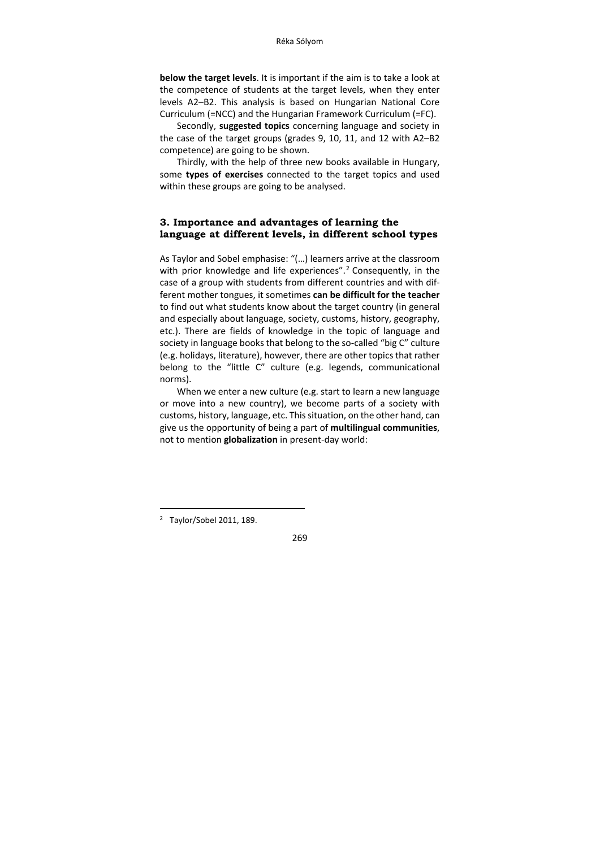**below the target levels**. It is important if the aim is to take a look at the competence of students at the target levels, when they enter levels A2–B2. This analysis is based on Hungarian National Core Curriculum (=NCC) and the Hungarian Framework Curriculum (=FC).

Secondly, **suggested topics** concerning language and society in the case of the target groups (grades 9, 10, 11, and 12 with A2–B2 competence) are going to be shown.

Thirdly, with the help of three new books available in Hungary, some **types of exercises** connected to the target topics and used within these groups are going to be analysed.

#### **3. Importance and advantages of learning the language at different levels, in different school types**

As Taylor and Sobel emphasise: "(…) learners arrive at the classroom with prior knowledge and life experiences".<sup>2</sup> Consequently, in the case of a group with students from different countries and with dif‐ ferent mother tongues, it sometimes **can be difficult for the teacher** to find out what students know about the target country (in general and especially about language, society, customs, history, geography, etc.). There are fields of knowledge in the topic of language and society in language books that belong to the so‐called "big C" culture (e.g. holidays, literature), however, there are other topics that rather belong to the "little C" culture (e.g. legends, communicational norms).

When we enter a new culture (e.g. start to learn a new language or move into a new country), we become parts of a society with customs, history, language, etc. This situation, on the other hand, can give us the opportunity of being a part of **multilingual communities**, not to mention **globalization** in present‐day world:

-



<sup>&</sup>lt;sup>2</sup> Taylor/Sobel 2011, 189.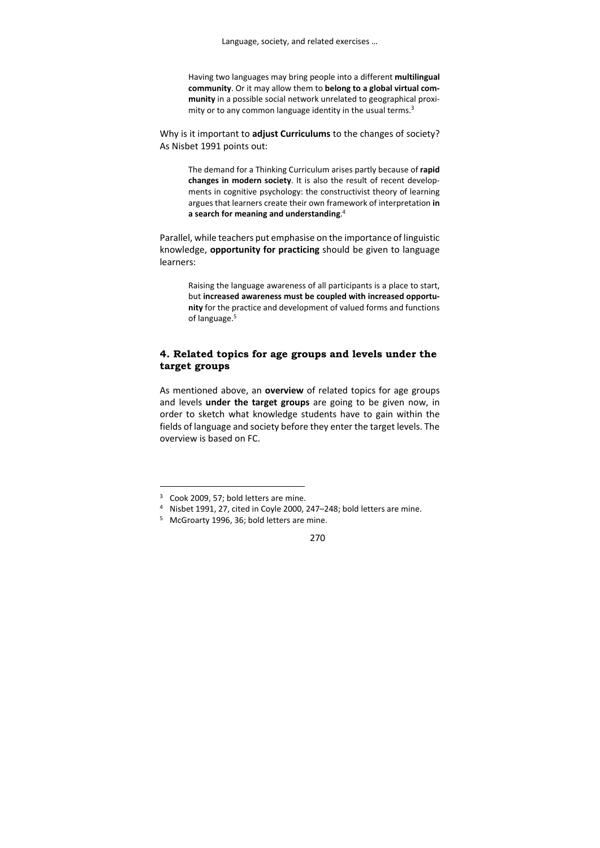Having two languages may bring people into a different **multilingual community**. Or it may allow them to **belong to a global virtual com‐ munity** in a possible social network unrelated to geographical proxi‐ mity or to any common language identity in the usual terms.<sup>3</sup>

Why is it important to **adjust Curriculums** to the changes of society? As Nisbet 1991 points out:

> The demand for a Thinking Curriculum arises partly because of **rapid changes in modern society**. It is also the result of recent develop‐ ments in cognitive psychology: the constructivist theory of learning argues that learners create their own framework of interpretation **in a search for meaning and understanding**. 4

Parallel, while teachers put emphasise on the importance of linguistic knowledge, **opportunity for practicing** should be given to language learners:

> Raising the language awareness of all participants is a place to start, but **increased awareness must be coupled with increased opportu‐ nity** for the practice and development of valued forms and functions of language.<sup>5</sup>

## **4. Related topics for age groups and levels under the target groups**

As mentioned above, an **overview** of related topics for age groups and levels **under the target groups** are going to be given now, in order to sketch what knowledge students have to gain within the fields of language and society before they enter the target levels. The overview is based on FC.

-

<sup>&</sup>lt;sup>3</sup> Cook 2009, 57; bold letters are mine.

<sup>4</sup> Nisbet 1991, 27, cited in Coyle 2000, 247–248; bold letters are mine.

<sup>&</sup>lt;sup>5</sup> McGroarty 1996, 36; bold letters are mine.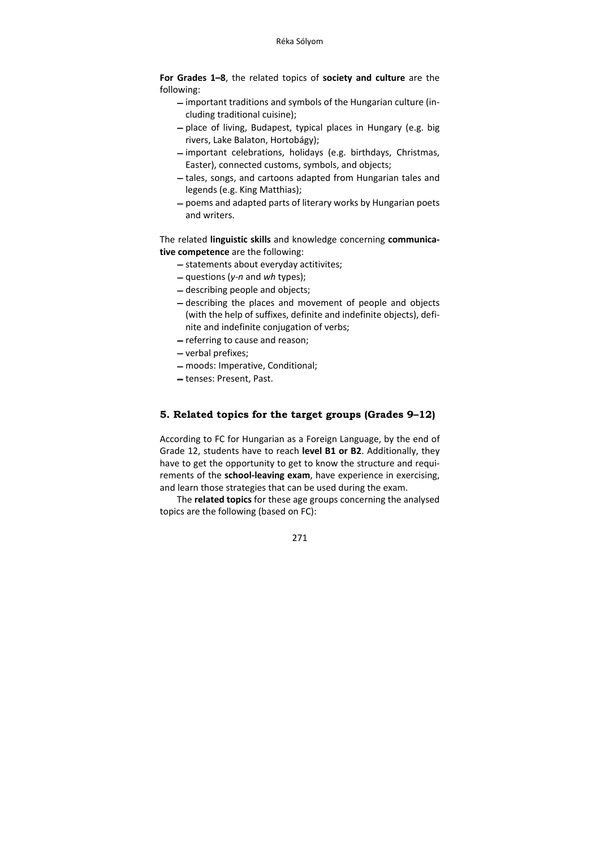**For Grades 1–8**, the related topics of **society and culture** are the following:

- important traditions and symbols of the Hungarian culture (including traditional cuisine);
- place of living, Budapest, typical places in Hungary (e.g. big rivers, Lake Balaton, Hortobágy);
- $-$  important celebrations, holidays (e.g. birthdays, Christmas, Easter), connected customs, symbols, and objects;
- tales, songs, and cartoons adapted from Hungarian tales and legends (e.g. King Matthias);
- poems and adapted parts of literary works by Hungarian poets and writers.

The related **linguistic skills** and knowledge concerning **communica‐ tive competence** are the following:

- statements about everyday actitivites;
- questions (*y‐n* and *wh* types);
- describing people and objects;
- describing the places and movement of people and objects (with the help of suffixes, definite and indefinite objects), defi‐ nite and indefinite conjugation of verbs;
- referring to cause and reason;
- verbal prefixes;
- moods: Imperative, Conditional;
- tenses: Present, Past.

# **5. Related topics for the target groups (Grades 9–12)**

According to FC for Hungarian as a Foreign Language, by the end of Grade 12, students have to reach **level B1 or B2**. Additionally, they have to get the opportunity to get to know the structure and requirements of the **school‐leaving exam**, have experience in exercising, and learn those strategies that can be used during the exam.

The **related topics** for these age groups concerning the analysed topics are the following (based on FC):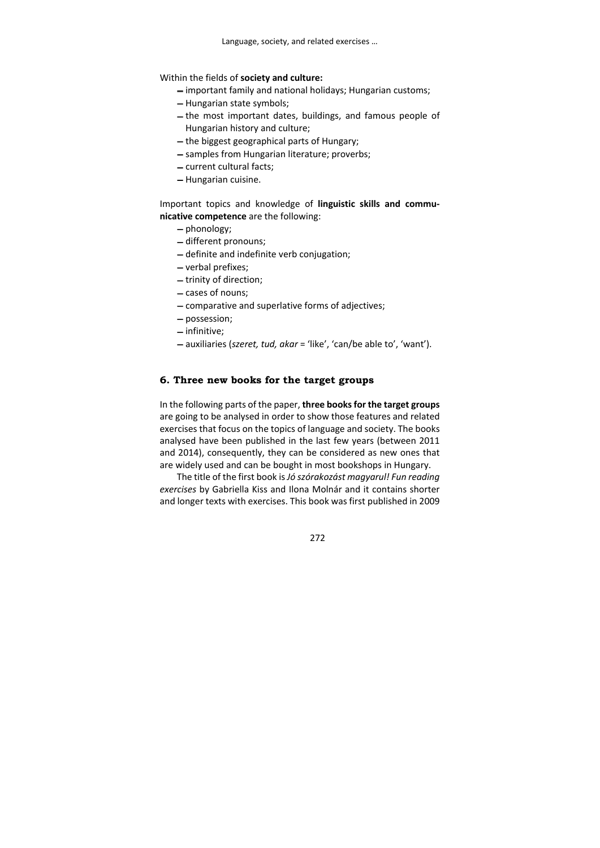## Within the fields of **society and culture:**

- important family and national holidays; Hungarian customs;
- Hungarian state symbols;
- the most important dates, buildings, and famous people of Hungarian history and culture;
- $-$  the biggest geographical parts of Hungary;
- samples from Hungarian literature; proverbs;
- current cultural facts;
- Hungarian cuisine.

### Important topics and knowledge of **linguistic skills and commu‐ nicative competence** are the following:

- phonology;
- different pronouns;
- definite and indefinite verb conjugation;
- verbal prefixes;
- trinity of direction;
- cases of nouns;
- comparative and superlative forms of adjectives;
- possession;
- infinitive;
- auxiliaries (*szeret, tud, akar* = 'like', 'can/be able to', 'want').

## **6. Three new books for the target groups**

In the following parts of the paper, **three booksfor the target groups** are going to be analysed in order to show those features and related exercises that focus on the topics of language and society. The books analysed have been published in the last few years (between 2011 and 2014), consequently, they can be considered as new ones that are widely used and can be bought in most bookshops in Hungary.

The title of the first book is*Jó szórakozást magyarul! Fun reading exercises* by Gabriella Kiss and Ilona Molnár and it contains shorter and longer texts with exercises. This book was first published in 2009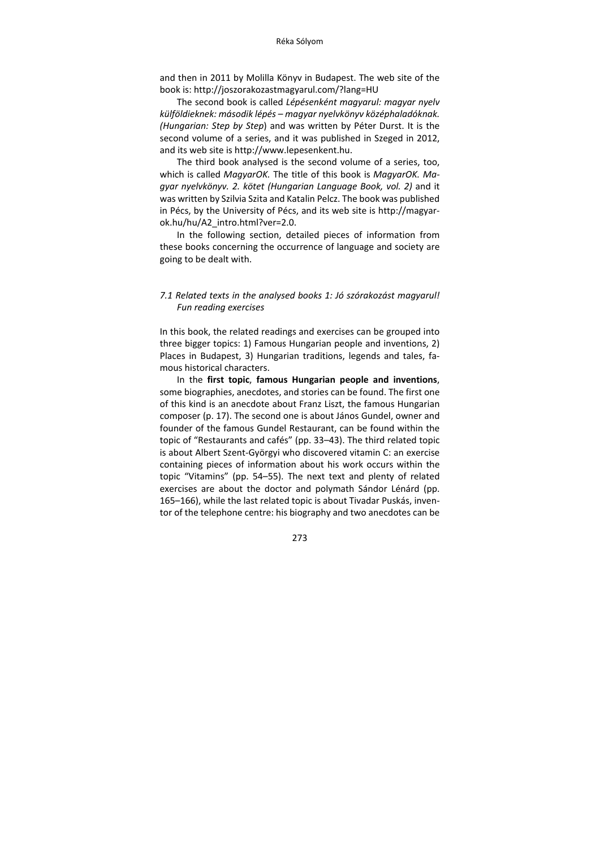and then in 2011 by Molilla Könyv in Budapest. The web site of the book is: http://joszorakozastmagyarul.com/?lang=HU

The second book is called *Lépésenként magyarul: magyar nyelv külföldieknek: második lépés – magyar nyelvkönyv középhaladóknak. (Hungarian: Step by Step*) and was written by Péter Durst. It is the second volume of a series, and it was published in Szeged in 2012, and its web site is http://www.lepesenkent.hu.

The third book analysed is the second volume of a series, too, which is called *MagyarOK.* The title of this book is *MagyarOK. Ma‐ gyar nyelvkönyv. 2. kötet (Hungarian Language Book, vol. 2)* and it was written by Szilvia Szita and Katalin Pelcz. The book was published in Pécs, by the University of Pécs, and its web site is http://magyar‐ ok.hu/hu/A2\_intro.html?ver=2.0.

In the following section, detailed pieces of information from these books concerning the occurrence of language and society are going to be dealt with.

### *7.1 Related texts in the analysed books 1: Jó szórakozást magyarul! Fun reading exercises*

In this book, the related readings and exercises can be grouped into three bigger topics: 1) Famous Hungarian people and inventions, 2) Places in Budapest, 3) Hungarian traditions, legends and tales, fa‐ mous historical characters.

In the **first topic**, **famous Hungarian people and inventions**, some biographies, anecdotes, and stories can be found. The first one of this kind is an anecdote about Franz Liszt, the famous Hungarian composer (p. 17). The second one is about János Gundel, owner and founder of the famous Gundel Restaurant, can be found within the topic of "Restaurants and cafés" (pp. 33–43). The third related topic is about Albert Szent‐Györgyi who discovered vitamin C: an exercise containing pieces of information about his work occurs within the topic "Vitamins" (pp. 54–55). The next text and plenty of related exercises are about the doctor and polymath Sándor Lénárd (pp. 165–166), while the last related topic is about Tivadar Puskás, inven‐ tor of the telephone centre: his biography and two anecdotes can be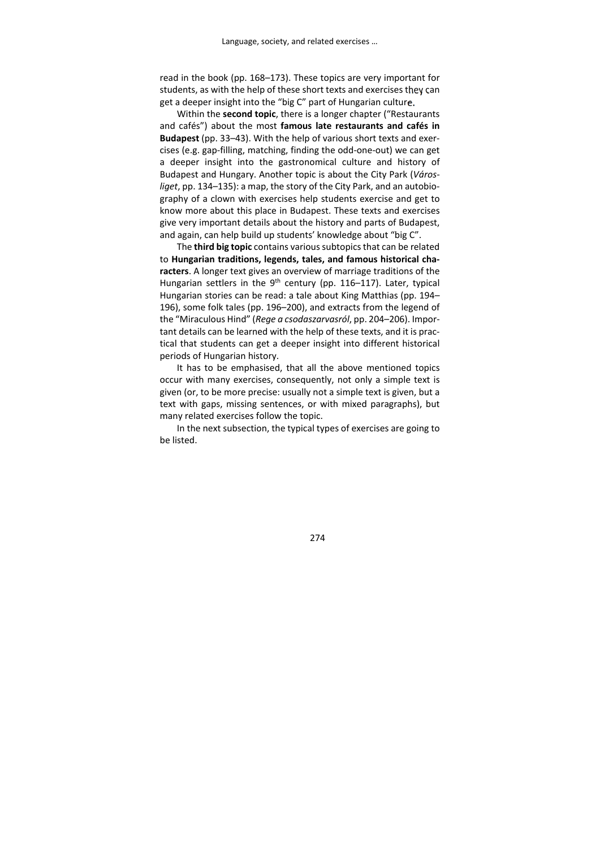read in the book (pp. 168–173). These topics are very important for students, as with the help of these short texts and exercises they can get a deeper insight into the "big C" part of Hungarian culture.

Within the **second topic**, there is a longer chapter ("Restaurants and cafés") about the most **famous late restaurants and cafés in Budapest** (pp. 33–43). With the help of various short texts and exer‐ cises (e.g. gap‐filling, matching, finding the odd‐one‐out) we can get a deeper insight into the gastronomical culture and history of Budapest and Hungary. Another topic is about the City Park (*Város‐ liget*, pp. 134–135): a map, the story of the City Park, and an autobio‐ graphy of a clown with exercises help students exercise and get to know more about this place in Budapest. These texts and exercises give very important details about the history and parts of Budapest, and again, can help build up students' knowledge about "big C".

The **third big topic** contains varioussubtopicsthat can be related to **Hungarian traditions, legends, tales, and famous historical cha‐ racters**. A longer text gives an overview of marriage traditions of the Hungarian settlers in the  $9<sup>th</sup>$  century (pp. 116–117). Later, typical Hungarian stories can be read: a tale about King Matthias (pp. 194– 196), some folk tales (pp. 196–200), and extracts from the legend of the "Miraculous Hind" (*Rege a csodaszarvasról*, pp. 204–206). Impor‐ tant details can be learned with the help of these texts, and it is practical that students can get a deeper insight into different historical periods of Hungarian history.

It has to be emphasised, that all the above mentioned topics occur with many exercises, consequently, not only a simple text is given (or, to be more precise: usually not a simple text is given, but a text with gaps, missing sentences, or with mixed paragraphs), but many related exercises follow the topic.

In the next subsection, the typical types of exercises are going to be listed.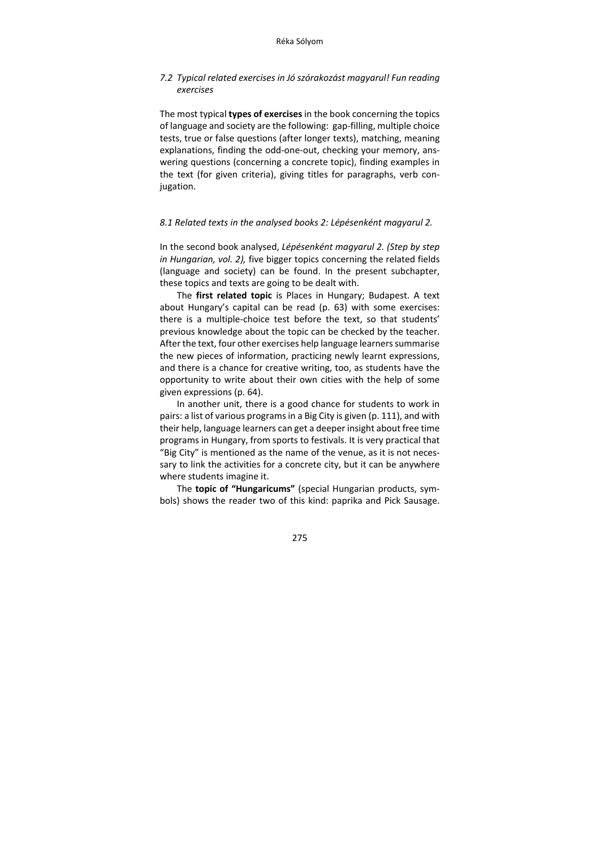### *7.2 Typical related exercises in Jó szórakozást magyarul! Fun reading exercises*

The most typical **types of exercises** in the book concerning the topics of language and society are the following: gap-filling, multiple choice tests, true or false questions (after longer texts), matching, meaning explanations, finding the odd‐one‐out, checking your memory, ans‐ wering questions (concerning a concrete topic), finding examples in the text (for given criteria), giving titles for paragraphs, verb con‐ jugation.

#### *8.1 Related texts in the analysed books 2: Lépésenként magyarul 2.*

In the second book analysed, *Lépésenként magyarul 2. (Step by step in Hungarian, vol. 2),* five bigger topics concerning the related fields (language and society) can be found. In the present subchapter, these topics and texts are going to be dealt with.

The **first related topic** is Places in Hungary; Budapest. A text about Hungary's capital can be read (p. 63) with some exercises: there is a multiple‐choice test before the text, so that students' previous knowledge about the topic can be checked by the teacher. After the text, four other exercises help language learners summarise the new pieces of information, practicing newly learnt expressions, and there is a chance for creative writing, too, as students have the opportunity to write about their own cities with the help of some given expressions (p. 64).

In another unit, there is a good chance for students to work in pairs: a list of various programs in a Big City is given (p. 111), and with their help, language learners can get a deeper insight about free time programs in Hungary, from sports to festivals. It is very practical that "Big City" is mentioned as the name of the venue, as it is not neces‐ sary to link the activities for a concrete city, but it can be anywhere where students imagine it.

The **topic of "Hungaricums"** (special Hungarian products, sym‐ bols) shows the reader two of this kind: paprika and Pick Sausage.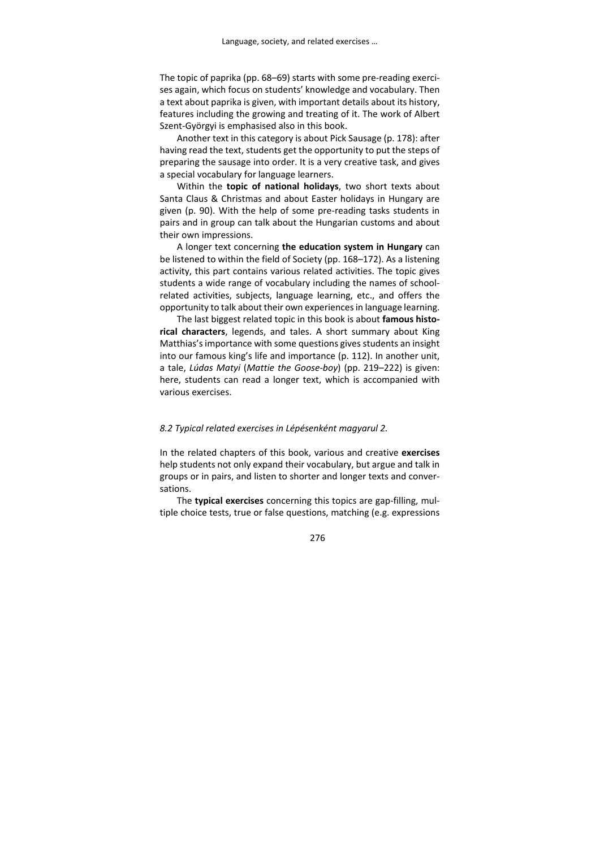The topic of paprika (pp. 68–69) starts with some pre-reading exercises again, which focus on students' knowledge and vocabulary. Then a text about paprika is given, with important details about its history, features including the growing and treating of it. The work of Albert Szent‐Györgyi is emphasised also in this book.

Another text in this category is about Pick Sausage (p. 178): after having read the text, students get the opportunity to put the steps of preparing the sausage into order. It is a very creative task, and gives a special vocabulary for language learners.

Within the **topic of national holidays**, two short texts about Santa Claus & Christmas and about Easter holidays in Hungary are given (p. 90). With the help of some pre‐reading tasks students in pairs and in group can talk about the Hungarian customs and about their own impressions.

A longer text concerning **the education system in Hungary** can be listened to within the field of Society (pp. 168–172). As a listening activity, this part contains various related activities. The topic gives students a wide range of vocabulary including the names of school‐ related activities, subjects, language learning, etc., and offers the opportunity to talk about their own experiencesin language learning.

The last biggest related topic in this book is about **famous histo‐ rical characters**, legends, and tales. A short summary about King Matthias's importance with some questions gives students an insight into our famous king's life and importance (p. 112). In another unit, a tale, *Lúdas Matyi* (*Mattie the Goose‐boy*) (pp. 219–222) is given: here, students can read a longer text, which is accompanied with various exercises.

#### *8.2 Typical related exercises in Lépésenként magyarul 2.*

In the related chapters of this book, various and creative **exercises** help students not only expand their vocabulary, but argue and talk in groups or in pairs, and listen to shorter and longer texts and conver‐ sations.

The **typical exercises** concerning this topics are gap-filling, multiple choice tests, true or false questions, matching (e.g. expressions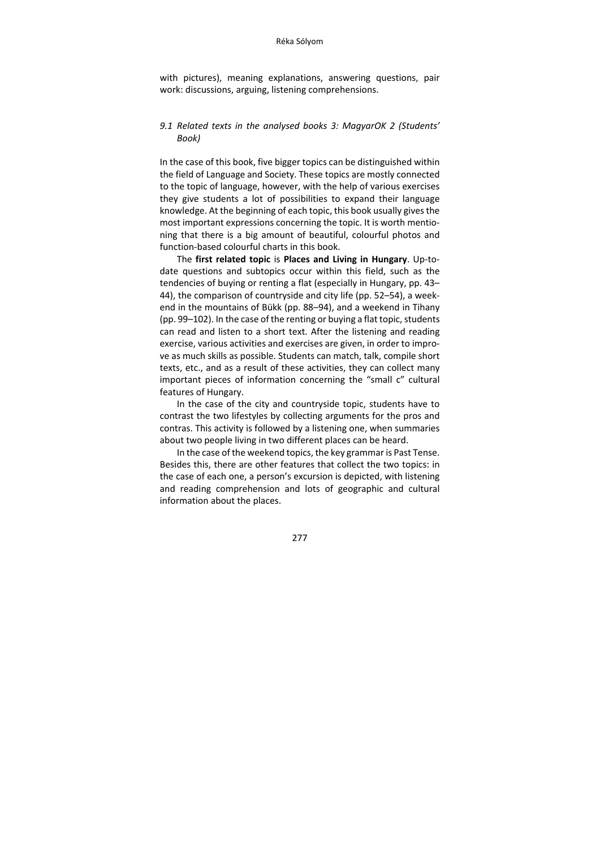with pictures), meaning explanations, answering questions, pair work: discussions, arguing, listening comprehensions.

#### *9.1 Related texts in the analysed books 3: MagyarOK 2 (Students' Book)*

In the case of this book, five bigger topics can be distinguished within the field of Language and Society. These topics are mostly connected to the topic of language, however, with the help of various exercises they give students a lot of possibilities to expand their language knowledge. At the beginning of each topic, this book usually gives the most important expressions concerning the topic. It is worth mentioning that there is a big amount of beautiful, colourful photos and function‐based colourful charts in this book.

The **first related topic** is **Places and Living in Hungary**. Up‐to‐ date questions and subtopics occur within this field, such as the tendencies of buying or renting a flat (especially in Hungary, pp. 43– 44), the comparison of countryside and city life (pp. 52–54), a week‐ end in the mountains of Bükk (pp. 88–94), and a weekend in Tihany (pp.  $99-102$ ). In the case of the renting or buying a flat topic, students can read and listen to a short text. After the listening and reading exercise, various activities and exercises are given, in order to impro‐ ve as much skills as possible. Students can match, talk, compile short texts, etc., and as a result of these activities, they can collect many important pieces of information concerning the "small c" cultural features of Hungary.

In the case of the city and countryside topic, students have to contrast the two lifestyles by collecting arguments for the pros and contras. This activity is followed by a listening one, when summaries about two people living in two different places can be heard.

In the case of the weekend topics, the key grammaris Past Tense. Besides this, there are other features that collect the two topics: in the case of each one, a person's excursion is depicted, with listening and reading comprehension and lots of geographic and cultural information about the places.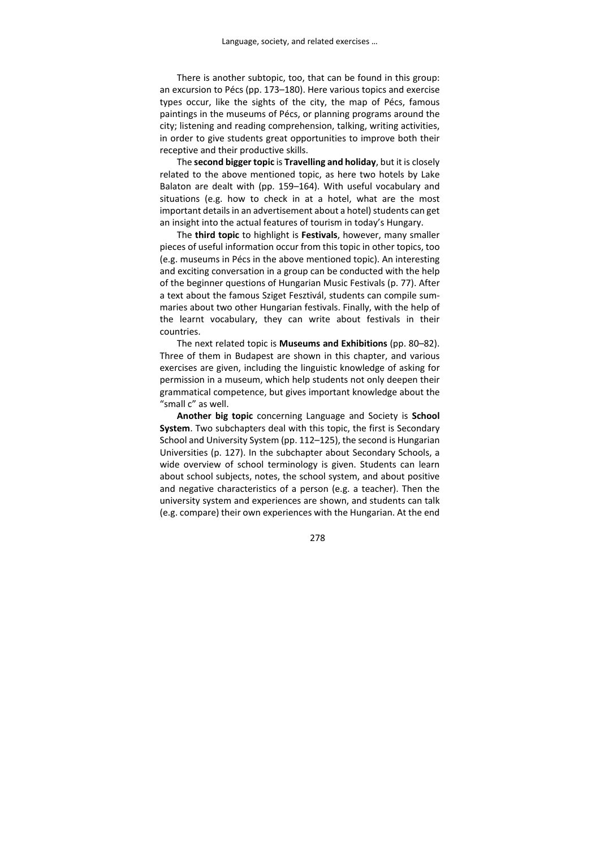There is another subtopic, too, that can be found in this group: an excursion to Pécs (pp. 173–180). Here various topics and exercise types occur, like the sights of the city, the map of Pécs, famous paintings in the museums of Pécs, or planning programs around the city; listening and reading comprehension, talking, writing activities, in order to give students great opportunities to improve both their receptive and their productive skills.

The **second bigger topic** is **Travelling and holiday**, but it is closely related to the above mentioned topic, as here two hotels by Lake Balaton are dealt with (pp. 159–164). With useful vocabulary and situations (e.g. how to check in at a hotel, what are the most important details in an advertisement about a hotel) students can get an insight into the actual features of tourism in today's Hungary.

The **third topic** to highlight is **Festivals**, however, many smaller pieces of useful information occur from this topic in other topics, too (e.g. museums in Pécs in the above mentioned topic). An interesting and exciting conversation in a group can be conducted with the help of the beginner questions of Hungarian Music Festivals (p. 77). After a text about the famous Sziget Fesztivál, students can compile sum‐ maries about two other Hungarian festivals. Finally, with the help of the learnt vocabulary, they can write about festivals in their countries.

The next related topic is **Museums and Exhibitions** (pp. 80–82). Three of them in Budapest are shown in this chapter, and various exercises are given, including the linguistic knowledge of asking for permission in a museum, which help students not only deepen their grammatical competence, but gives important knowledge about the "small c" as well.

**Another big topic** concerning Language and Society is **School System**. Two subchapters deal with this topic, the first is Secondary School and University System (pp. 112–125), the second is Hungarian Universities (p. 127). In the subchapter about Secondary Schools, a wide overview of school terminology is given. Students can learn about school subjects, notes, the school system, and about positive and negative characteristics of a person (e.g. a teacher). Then the university system and experiences are shown, and students can talk (e.g. compare) their own experiences with the Hungarian. At the end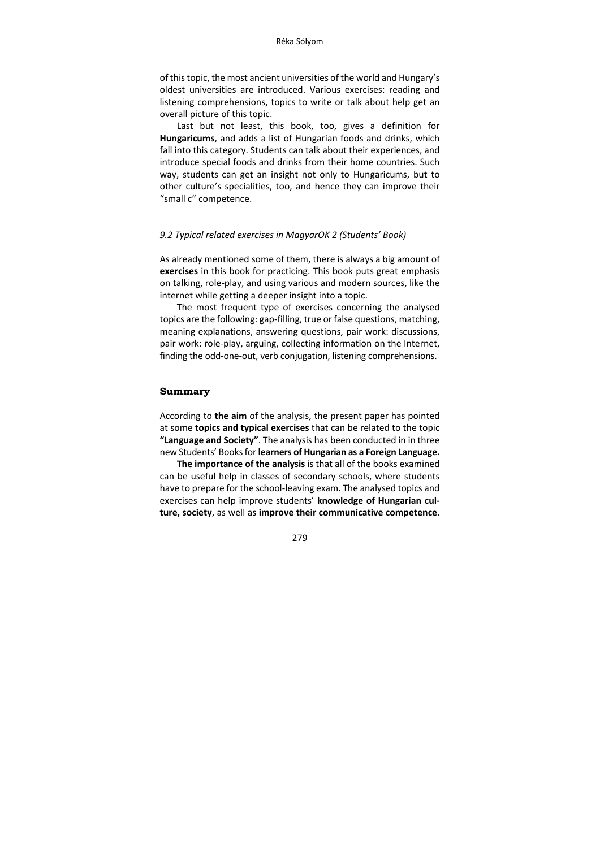of thistopic, the most ancient universities of the world and Hungary's oldest universities are introduced. Various exercises: reading and listening comprehensions, topics to write or talk about help get an overall picture of this topic.

Last but not least, this book, too, gives a definition for **Hungaricums**, and adds a list of Hungarian foods and drinks, which fall into this category. Students can talk about their experiences, and introduce special foods and drinks from their home countries. Such way, students can get an insight not only to Hungaricums, but to other culture's specialities, too, and hence they can improve their "small c" competence.

#### *9.2 Typical related exercises in MagyarOK 2 (Students' Book)*

As already mentioned some of them, there is always a big amount of **exercises** in this book for practicing. This book puts great emphasis on talking, role‐play, and using various and modern sources, like the internet while getting a deeper insight into a topic.

The most frequent type of exercises concerning the analysed topics are the following: gap-filling, true or false questions, matching, meaning explanations, answering questions, pair work: discussions, pair work: role-play, arguing, collecting information on the Internet, finding the odd-one-out, verb conjugation, listening comprehensions.

#### **Summary**

According to **the aim** of the analysis, the present paper has pointed at some **topics and typical exercises** that can be related to the topic **"Language and Society"**. The analysis has been conducted in in three new Students' Booksfor **learners of Hungarian as a Foreign Language.**

**The importance of the analysis** is that all of the books examined can be useful help in classes of secondary schools, where students have to prepare for the school-leaving exam. The analysed topics and exercises can help improve students' **knowledge of Hungarian cul‐ ture, society**, as well as **improve their communicative competence**.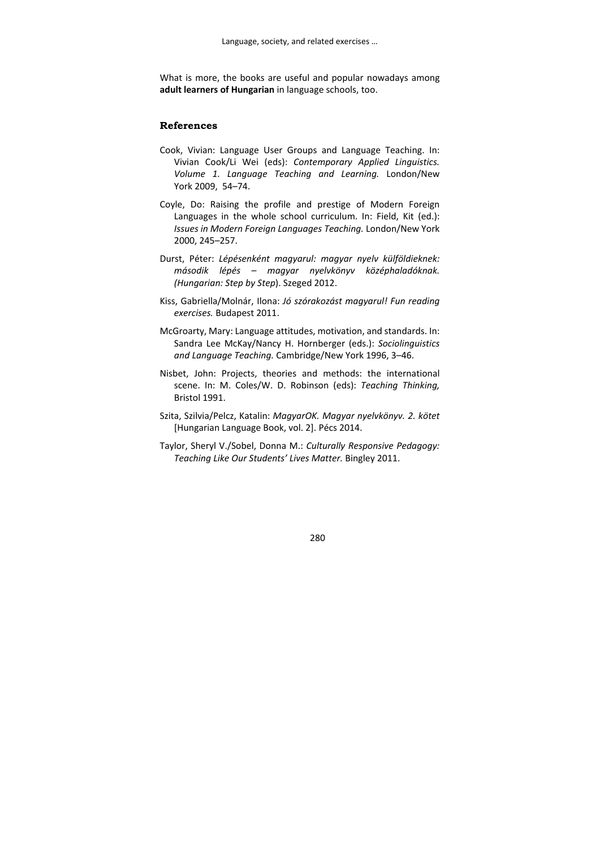What is more, the books are useful and popular nowadays among **adult learners of Hungarian** in language schools, too.

#### **References**

- Cook, Vivian: Language User Groups and Language Teaching. In: Vivian Cook/Li Wei (eds): *Contemporary Applied Linguistics. Volume 1. Language Teaching and Learning.* London/New York 2009, 54–74.
- Coyle, Do: Raising the profile and prestige of Modern Foreign Languages in the whole school curriculum. In: Field, Kit (ed.): *Issues in Modern Foreign Languages Teaching.* London/New York 2000, 245–257.
- Durst, Péter: *Lépésenként magyarul: magyar nyelv külföldieknek: második lépés – magyar nyelvkönyv középhaladóknak. (Hungarian: Step by Step*). Szeged 2012.
- Kiss, Gabriella/Molnár, Ilona: *Jó szórakozást magyarul! Fun reading exercises.* Budapest 2011.
- McGroarty, Mary: Language attitudes, motivation, and standards. In: Sandra Lee McKay/Nancy H. Hornberger (eds.): *Sociolinguistics and Language Teaching.* Cambridge/New York 1996, 3–46.
- Nisbet, John: Projects, theories and methods: the international scene. In: M. Coles/W. D. Robinson (eds): *Teaching Thinking,* Bristol 1991.
- Szita, Szilvia/Pelcz, Katalin: *MagyarOK. Magyar nyelvkönyv. 2. kötet* [Hungarian Language Book, vol. 2]. Pécs 2014.
- Taylor, Sheryl V./Sobel, Donna M.: *Culturally Responsive Pedagogy: Teaching Like Our Students' Lives Matter.* Bingley 2011.